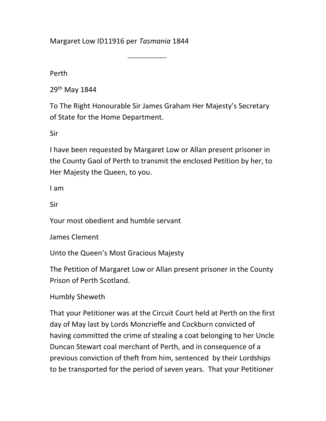Margaret Low ID11916 per Tasmania 1844

----------------

Perth

29th May 1844

To The Right Honourable Sir James Graham Her Majesty's Secretary of State for the Home Department.

Sir

I have been requested by Margaret Low or Allan present prisoner in the County Gaol of Perth to transmit the enclosed Petition by her, to Her Majesty the Queen, to you.

I am

Sir

Your most obedient and humble servant

James Clement

Unto the Queen's Most Gracious Majesty

The Petition of Margaret Low or Allan present prisoner in the County Prison of Perth Scotland.

Humbly Sheweth

That your Petitioner was at the Circuit Court held at Perth on the first day of May last by Lords Moncrieffe and Cockburn convicted of having committed the crime of stealing a coat belonging to her Uncle Duncan Stewart coal merchant of Perth, and in consequence of a previous conviction of theft from him, sentenced by their Lordships to be transported for the period of seven years. That your Petitioner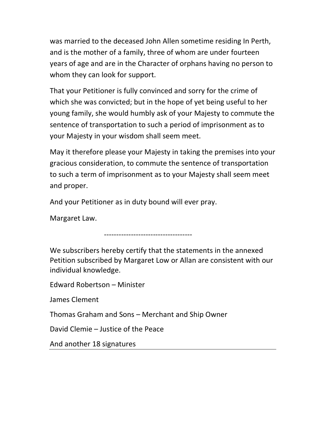was married to the deceased John Allen sometime residing In Perth, and is the mother of a family, three of whom are under fourteen years of age and are in the Character of orphans having no person to whom they can look for support.

That your Petitioner is fully convinced and sorry for the crime of which she was convicted; but in the hope of yet being useful to her young family, she would humbly ask of your Majesty to commute the sentence of transportation to such a period of imprisonment as to your Majesty in your wisdom shall seem meet.

May it therefore please your Majesty in taking the premises into your gracious consideration, to commute the sentence of transportation to such a term of imprisonment as to your Majesty shall seem meet and proper.

And your Petitioner as in duty bound will ever pray.

Margaret Law.

------------------------------------

We subscribers hereby certify that the statements in the annexed Petition subscribed by Margaret Low or Allan are consistent with our individual knowledge.

Edward Robertson – Minister

James Clement

Thomas Graham and Sons – Merchant and Ship Owner

David Clemie – Justice of the Peace

And another 18 signatures